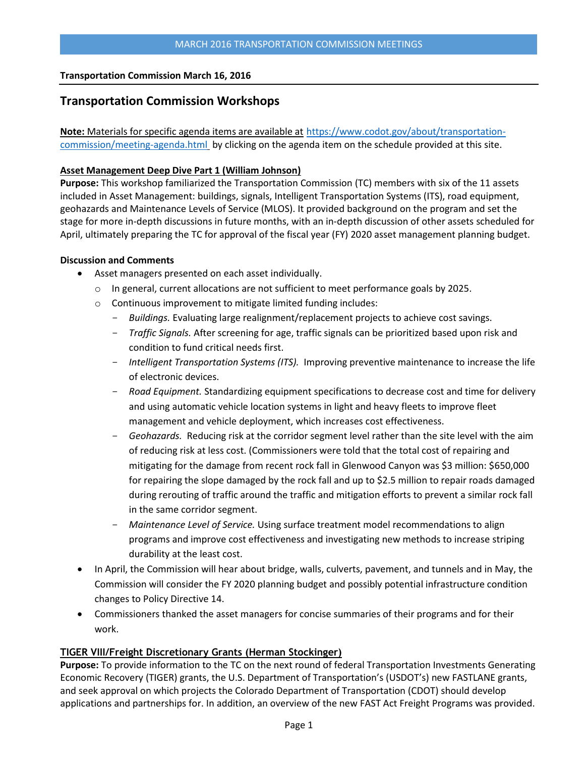### **Transportation Commission March 16, 2016**

# **Transportation Commission Workshops**

**Note:** Materials for specific agenda items are available at [https://www.codot.gov/about/transportation](https://www.codot.gov/about/transportation-commission/meeting-agenda.html)[commission/meeting-agenda.html](https://www.codot.gov/about/transportation-commission/meeting-agenda.html) by clicking on the agenda item on the schedule provided at this site.

### **[Asset Management Deep Dive Part 1 \(William Johnson\)](https://www.codot.gov/about/transportation-commission/current-agenda-and-supporting-documents/02-p3-management-manual-workshop.pdf)**

**Purpose:** This workshop familiarized the Transportation Commission (TC) members with six of the 11 assets included in Asset Management: buildings, signals, Intelligent Transportation Systems (ITS), road equipment, geohazards and Maintenance Levels of Service (MLOS). It provided background on the program and set the stage for more in-depth discussions in future months, with an in-depth discussion of other assets scheduled for April, ultimately preparing the TC for approval of the fiscal year (FY) 2020 asset management planning budget.

### **Discussion and Comments**

- Asset managers presented on each asset individually.
	- o In general, current allocations are not sufficient to meet performance goals by 2025.
	- o Continuous improvement to mitigate limited funding includes:
		- *Buildings.* Evaluating large realignment/replacement projects to achieve cost savings.
		- *Traffic Signals.* After screening for age, traffic signals can be prioritized based upon risk and condition to fund critical needs first.
		- *Intelligent Transportation Systems (ITS).* Improving preventive maintenance to increase the life of electronic devices.
		- *Road Equipment.* Standardizing equipment specifications to decrease cost and time for delivery and using automatic vehicle location systems in light and heavy fleets to improve fleet management and vehicle deployment, which increases cost effectiveness.
		- Geohazards. Reducing risk at the corridor segment level rather than the site level with the aim of reducing risk at less cost. (Commissioners were told that the total cost of repairing and mitigating for the damage from recent rock fall in Glenwood Canyon was \$3 million: \$650,000 for repairing the slope damaged by the rock fall and up to \$2.5 million to repair roads damaged during rerouting of traffic around the traffic and mitigation efforts to prevent a similar rock fall in the same corridor segment.
		- *Maintenance Level of Service.* Using surface treatment model recommendations to align programs and improve cost effectiveness and investigating new methods to increase striping durability at the least cost.
- In April, the Commission will hear about bridge, walls, culverts, pavement, and tunnels and in May, the Commission will consider the FY 2020 planning budget and possibly potential infrastructure condition changes to Policy Directive 14.
- Commissioners thanked the asset managers for concise summaries of their programs and for their work.

## **[TIGER VIII/Freight Discretionary Grants \(Herman Stockinger\)](https://www.codot.gov/about/transportation-commission/current-agenda-and-supporting-documents/2-tiger-viii-freight-discretionary-grants.pdf)**

**Purpose:** To provide information to the TC on the next round of federal Transportation Investments Generating Economic Recovery (TIGER) grants, the U.S. Department of Transportation's (USDOT's) new FASTLANE grants, and seek approval on which projects the Colorado Department of Transportation (CDOT) should develop applications and partnerships for. In addition, an overview of the new FAST Act Freight Programs was provided.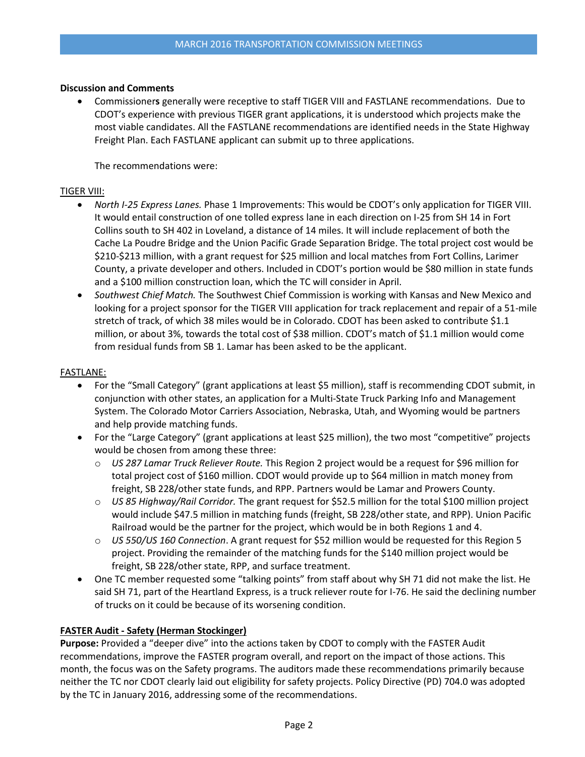Commissioner**s** generally were receptive to staff TIGER VIII and FASTLANE recommendations. Due to CDOT's experience with previous TIGER grant applications, it is understood which projects make the most viable candidates. All the FASTLANE recommendations are identified needs in the State Highway Freight Plan. Each FASTLANE applicant can submit up to three applications.

The recommendations were:

### TIGER VIII:

- *North I-25 Express Lanes.* Phase 1 Improvements: This would be CDOT's only application for TIGER VIII. It would entail construction of one tolled express lane in each direction on I-25 from SH 14 in Fort Collins south to SH 402 in Loveland, a distance of 14 miles. It will include replacement of both the Cache La Poudre Bridge and the Union Pacific Grade Separation Bridge. The total project cost would be \$210-\$213 million, with a grant request for \$25 million and local matches from Fort Collins, Larimer County, a private developer and others. Included in CDOT's portion would be \$80 million in state funds and a \$100 million construction loan, which the TC will consider in April.
- *Southwest Chief Match.* The Southwest Chief Commission is working with Kansas and New Mexico and looking for a project sponsor for the TIGER VIII application for track replacement and repair of a 51-mile stretch of track, of which 38 miles would be in Colorado. CDOT has been asked to contribute \$1.1 million, or about 3%, towards the total cost of \$38 million. CDOT's match of \$1.1 million would come from residual funds from SB 1. Lamar has been asked to be the applicant.

### FASTLANE:

- For the "Small Category" (grant applications at least \$5 million), staff is recommending CDOT submit, in conjunction with other states, an application for a Multi-State Truck Parking Info and Management System. The Colorado Motor Carriers Association, Nebraska, Utah, and Wyoming would be partners and help provide matching funds.
- For the "Large Category" (grant applications at least \$25 million), the two most "competitive" projects would be chosen from among these three:
	- o *US 287 Lamar Truck Reliever Route.* This Region 2 project would be a request for \$96 million for total project cost of \$160 million. CDOT would provide up to \$64 million in match money from freight, SB 228/other state funds, and RPP. Partners would be Lamar and Prowers County.
	- o *US 85 Highway/Rail Corridor.* The grant request for \$52.5 million for the total \$100 million project would include \$47.5 million in matching funds (freight, SB 228/other state, and RPP). Union Pacific Railroad would be the partner for the project, which would be in both Regions 1 and 4.
	- o *US 550/US 160 Connection*. A grant request for \$52 million would be requested for this Region 5 project. Providing the remainder of the matching funds for the \$140 million project would be freight, SB 228/other state, RPP, and surface treatment.
- One TC member requested some "talking points" from staff about why SH 71 did not make the list. He said SH 71, part of the Heartland Express, is a truck reliever route for I-76. He said the declining number of trucks on it could be because of its worsening condition.

## **FASTER Audit - [Safety \(Herman Stockinger\)](https://www.codot.gov/about/transportation-commission/current-agenda-and-supporting-documents/2-tiger-viii-freight-discretionary-grants.pdf)**

**Purpose:** Provided a "deeper dive" into the actions taken by CDOT to comply with the FASTER Audit recommendations, improve the FASTER program overall, and report on the impact of those actions. This month, the focus was on the Safety programs. The auditors made these recommendations primarily because neither the TC nor CDOT clearly laid out eligibility for safety projects. Policy Directive (PD) 704.0 was adopted by the TC in January 2016, addressing some of the recommendations.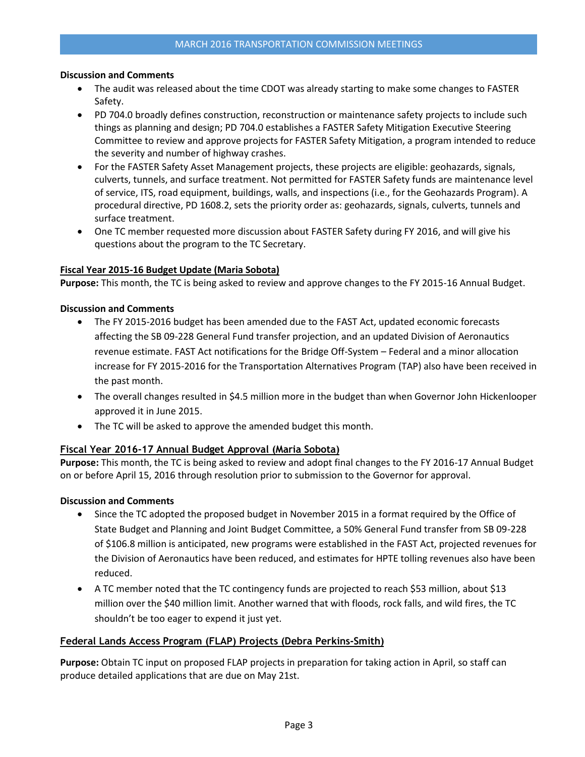- The audit was released about the time CDOT was already starting to make some changes to FASTER Safety.
- PD 704.0 broadly defines construction, reconstruction or maintenance safety projects to include such things as planning and design; PD 704.0 establishes a FASTER Safety Mitigation Executive Steering Committee to review and approve projects for FASTER Safety Mitigation, a program intended to reduce the severity and number of highway crashes.
- For the FASTER Safety Asset Management projects, these projects are eligible: geohazards, signals, culverts, tunnels, and surface treatment. Not permitted for FASTER Safety funds are maintenance level of service, ITS, road equipment, buildings, walls, and inspections (i.e., for the Geohazards Program). A procedural directive, PD 1608.2, sets the priority order as: geohazards, signals, culverts, tunnels and surface treatment.
- One TC member requested more discussion about FASTER Safety during FY 2016, and will give his questions about the program to the TC Secretary.

### **[Fiscal Year 2015-16 Budget Update \(Maria Sobota\)](https://www.codot.gov/about/transportation-commission/current-agenda-and-supporting-documents/2-tiger-viii-freight-discretionary-grants.pdf)**

**Purpose:** This month, the TC is being asked to review and approve changes to the FY 2015-16 Annual Budget.

### **Discussion and Comments**

- The FY 2015-2016 budget has been amended due to the FAST Act, updated economic forecasts affecting the SB 09-228 General Fund transfer projection, and an updated Division of Aeronautics revenue estimate. FAST Act notifications for the Bridge Off-System – Federal and a minor allocation increase for FY 2015-2016 for the Transportation Alternatives Program (TAP) also have been received in the past month.
- The overall changes resulted in \$4.5 million more in the budget than when Governor John Hickenlooper approved it in June 2015.
- The TC will be asked to approve the amended budget this month.

## **[Fiscal Year 2016-17 Annual Budget Approval](https://www.codot.gov/about/transportation-commission/current-agenda-and-supporting-documents/2-tiger-viii-freight-discretionary-grants.pdf) (Maria Sobota)**

**Purpose:** This month, the TC is being asked to review and adopt final changes to the FY 2016-17 Annual Budget on or before April 15, 2016 through resolution prior to submission to the Governor for approval.

#### **Discussion and Comments**

- Since the TC adopted the proposed budget in November 2015 in a format required by the Office of State Budget and Planning and Joint Budget Committee, a 50% General Fund transfer from SB 09-228 of \$106.8 million is anticipated, new programs were established in the FAST Act, projected revenues for the Division of Aeronautics have been reduced, and estimates for HPTE tolling revenues also have been reduced.
- A TC member noted that the TC contingency funds are projected to reach \$53 million, about \$13 million over the \$40 million limit. Another warned that with floods, rock falls, and wild fires, the TC shouldn't be too eager to expend it just yet.

## **Federal Lands Access Program (FLAP) [Projects \(Debra Perkins-Smith\)](https://www.codot.gov/about/transportation-commission/current-agenda-and-supporting-documents/2-tiger-viii-freight-discretionary-grants.pdf)**

**Purpose:** Obtain TC input on proposed FLAP projects in preparation for taking action in April, so staff can produce detailed applications that are due on May 21st.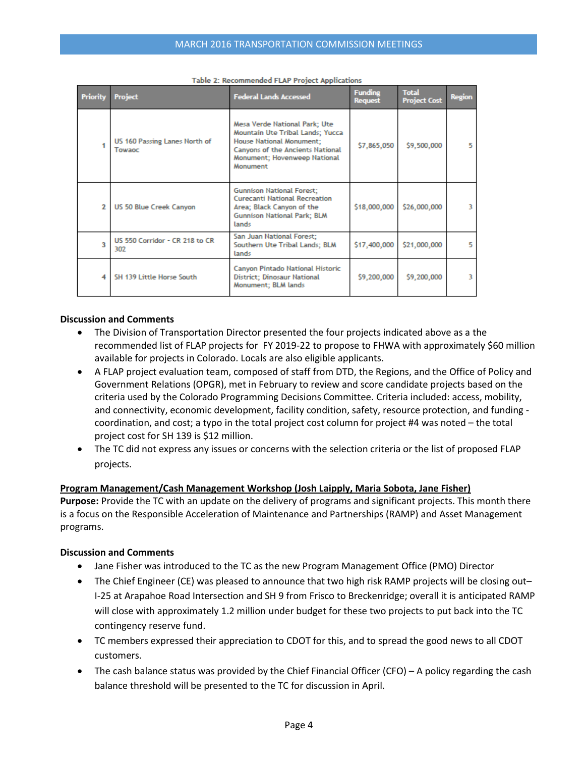| <b>Priority</b>          | <b>Project</b>                          | <b>Federal Lands Accessed</b>                                                                                                                                                               | <b>Funding</b><br><b>Request</b> | <b>Total</b><br><b>Project Cost</b> | <b>Region</b> |
|--------------------------|-----------------------------------------|---------------------------------------------------------------------------------------------------------------------------------------------------------------------------------------------|----------------------------------|-------------------------------------|---------------|
|                          | US 160 Passing Lanes North of<br>Towaoc | Mesa Verde National Park; Ute<br>Mountain Ute Tribal Lands; Yucca<br><b>House National Monument:</b><br><b>Canyons of the Ancients National</b><br>Monument; Hovenweep National<br>Monument | \$7,865,050                      | \$9,500,000                         | 5             |
| $\overline{\phantom{a}}$ | US 50 Blue Creek Canyon                 | <b>Gunnison National Forest:</b><br><b>Curecanti National Recreation</b><br>Area; Black Canyon of the<br><b>Gunnison National Park: BLM</b><br>lands                                        | \$18,000,000                     | \$26,000,000                        | 3             |
| $\overline{\mathbf{3}}$  | US 550 Corridor - CR 218 to CR<br>302   | San Juan National Forest;<br>Southern Ute Tribal Lands; BLM<br>lands                                                                                                                        | \$17,400,000                     | \$21,000,000                        | 5             |
| $\boldsymbol{A}$         | SH 139 Little Horse South               | Canyon Pintado National Historic<br><b>District</b> ; Dinosaur National<br>Monument; BLM lands                                                                                              | \$9,200,000                      | \$9,200,000                         | 3             |

Table 2: Recommended FLAP Project Applications

- The Division of Transportation Director presented the four projects indicated above as a the recommended list of FLAP projects for FY 2019-22 to propose to FHWA with approximately \$60 million available for projects in Colorado. Locals are also eligible applicants.
- A FLAP project evaluation team, composed of staff from DTD, the Regions, and the Office of Policy and Government Relations (OPGR), met in February to review and score candidate projects based on the criteria used by the Colorado Programming Decisions Committee. Criteria included: access, mobility, and connectivity, economic development, facility condition, safety, resource protection, and funding coordination, and cost; a typo in the total project cost column for project #4 was noted – the total project cost for SH 139 is \$12 million.
- The TC did not express any issues or concerns with the selection criteria or the list of proposed FLAP projects.

## **Program [Management/Cash Management Workshop \(Josh Laipply, Maria Sobota, Jane Fisher\)](https://www.codot.gov/about/transportation-commission/current-agenda-and-supporting-documents/2-tiger-viii-freight-discretionary-grants.pdf)**

**Purpose:** Provide the TC with an update on the delivery of programs and significant projects. This month there is a focus on the Responsible Acceleration of Maintenance and Partnerships (RAMP) and Asset Management programs.

## **Discussion and Comments**

- Jane Fisher was introduced to the TC as the new Program Management Office (PMO) Director
- The Chief Engineer (CE) was pleased to announce that two high risk RAMP projects will be closing out– I-25 at Arapahoe Road Intersection and SH 9 from Frisco to Breckenridge; overall it is anticipated RAMP will close with approximately 1.2 million under budget for these two projects to put back into the TC contingency reserve fund.
- TC members expressed their appreciation to CDOT for this, and to spread the good news to all CDOT customers.
- The cash balance status was provided by the Chief Financial Officer (CFO) A policy regarding the cash balance threshold will be presented to the TC for discussion in April.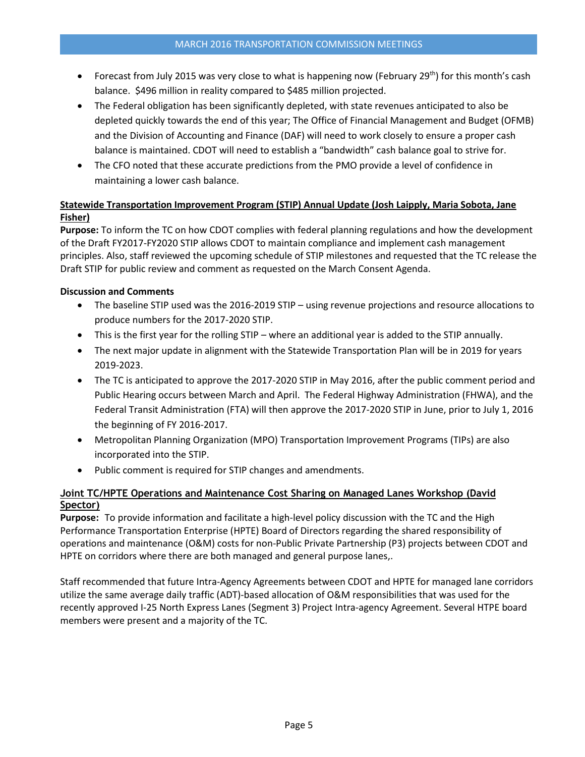- Forecast from July 2015 was very close to what is happening now (February 29<sup>th</sup>) for this month's cash balance. \$496 million in reality compared to \$485 million projected.
- The Federal obligation has been significantly depleted, with state revenues anticipated to also be depleted quickly towards the end of this year; The Office of Financial Management and Budget (OFMB) and the Division of Accounting and Finance (DAF) will need to work closely to ensure a proper cash balance is maintained. CDOT will need to establish a "bandwidth" cash balance goal to strive for.
- The CFO noted that these accurate predictions from the PMO provide a level of confidence in maintaining a lower cash balance.

# **[Statewide Transportation Improvement Program \(STIP\) Annual Update \(Josh Laipply, Maria Sobota, Jane](https://www.codot.gov/about/transportation-commission/current-agenda-and-supporting-documents/2-tiger-viii-freight-discretionary-grants.pdf)  [Fisher\)](https://www.codot.gov/about/transportation-commission/current-agenda-and-supporting-documents/2-tiger-viii-freight-discretionary-grants.pdf)**

**Purpose:** To inform the TC on how CDOT complies with federal planning regulations and how the development of the Draft FY2017-FY2020 STIP allows CDOT to maintain compliance and implement cash management principles. Also, staff reviewed the upcoming schedule of STIP milestones and requested that the TC release the Draft STIP for public review and comment as requested on the March Consent Agenda.

## **Discussion and Comments**

- The baseline STIP used was the 2016-2019 STIP using revenue projections and resource allocations to produce numbers for the 2017-2020 STIP.
- This is the first year for the rolling STIP where an additional year is added to the STIP annually.
- The next major update in alignment with the Statewide Transportation Plan will be in 2019 for years 2019-2023.
- The TC is anticipated to approve the 2017-2020 STIP in May 2016, after the public comment period and Public Hearing occurs between March and April. The Federal Highway Administration (FHWA), and the Federal Transit Administration (FTA) will then approve the 2017-2020 STIP in June, prior to July 1, 2016 the beginning of FY 2016-2017.
- Metropolitan Planning Organization (MPO) Transportation Improvement Programs (TIPs) are also incorporated into the STIP.
- Public comment is required for STIP changes and amendments.

## **[Joint TC/HPTE Operations and Maintenance Cost Sharing on Managed Lanes Workshop](https://www.codot.gov/about/transportation-commission/current-agenda-and-supporting-documents/2-tiger-viii-freight-discretionary-grants.pdf) (David [Spector\)](https://www.codot.gov/about/transportation-commission/current-agenda-and-supporting-documents/2-tiger-viii-freight-discretionary-grants.pdf)**

**Purpose:** To provide information and facilitate a high-level policy discussion with the TC and the High Performance Transportation Enterprise (HPTE) Board of Directors regarding the shared responsibility of operations and maintenance (O&M) costs for non-Public Private Partnership (P3) projects between CDOT and HPTE on corridors where there are both managed and general purpose lanes,.

Staff recommended that future Intra-Agency Agreements between CDOT and HPTE for managed lane corridors utilize the same average daily traffic (ADT)-based allocation of O&M responsibilities that was used for the recently approved I-25 North Express Lanes (Segment 3) Project Intra-agency Agreement. Several HTPE board members were present and a majority of the TC.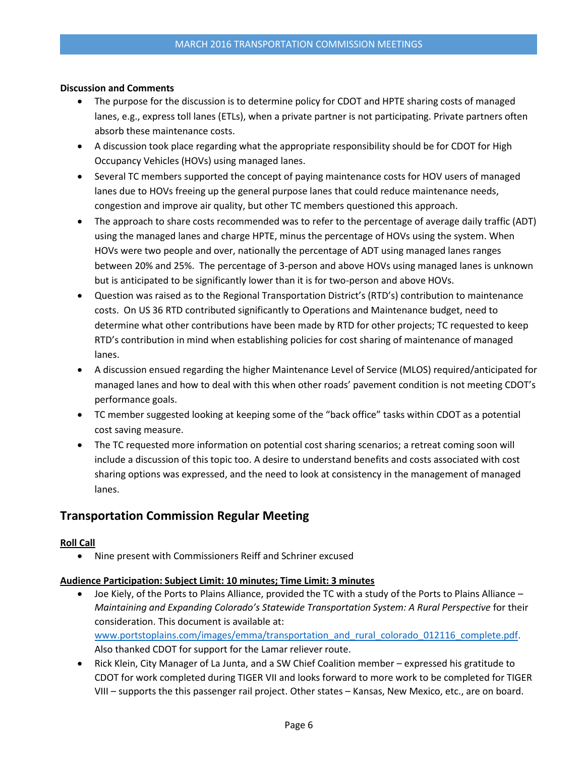- The purpose for the discussion is to determine policy for CDOT and HPTE sharing costs of managed lanes, e.g., express toll lanes (ETLs), when a private partner is not participating. Private partners often absorb these maintenance costs.
- A discussion took place regarding what the appropriate responsibility should be for CDOT for High Occupancy Vehicles (HOVs) using managed lanes.
- Several TC members supported the concept of paying maintenance costs for HOV users of managed lanes due to HOVs freeing up the general purpose lanes that could reduce maintenance needs, congestion and improve air quality, but other TC members questioned this approach.
- The approach to share costs recommended was to refer to the percentage of average daily traffic (ADT) using the managed lanes and charge HPTE, minus the percentage of HOVs using the system. When HOVs were two people and over, nationally the percentage of ADT using managed lanes ranges between 20% and 25%. The percentage of 3-person and above HOVs using managed lanes is unknown but is anticipated to be significantly lower than it is for two-person and above HOVs.
- Question was raised as to the Regional Transportation District's (RTD's) contribution to maintenance costs. On US 36 RTD contributed significantly to Operations and Maintenance budget, need to determine what other contributions have been made by RTD for other projects; TC requested to keep RTD's contribution in mind when establishing policies for cost sharing of maintenance of managed lanes.
- A discussion ensued regarding the higher Maintenance Level of Service (MLOS) required/anticipated for managed lanes and how to deal with this when other roads' pavement condition is not meeting CDOT's performance goals.
- TC member suggested looking at keeping some of the "back office" tasks within CDOT as a potential cost saving measure.
- The TC requested more information on potential cost sharing scenarios; a retreat coming soon will include a discussion of this topic too. A desire to understand benefits and costs associated with cost sharing options was expressed, and the need to look at consistency in the management of managed lanes.

# **Transportation Commission Regular Meeting**

## **Roll Call**

Nine present with Commissioners Reiff and Schriner excused

## **Audience Participation: Subject Limit: 10 minutes; Time Limit: 3 minutes**

- Joe Kiely, of the Ports to Plains Alliance, provided the TC with a study of the Ports to Plains Alliance *Maintaining and Expanding Colorado's Statewide Transportation System: A Rural Perspective* for their consideration. This document is available at: [www.portstoplains.com/images/emma/transportation\\_and\\_rural\\_colorado\\_012116\\_complete.pdf.](http://www.portstoplains.com/images/emma/transportation_and_rural_colorado_012116_complete.pdf) Also thanked CDOT for support for the Lamar reliever route.
- Rick Klein, City Manager of La Junta, and a SW Chief Coalition member expressed his gratitude to CDOT for work completed during TIGER VII and looks forward to more work to be completed for TIGER VIII – supports the this passenger rail project. Other states – Kansas, New Mexico, etc., are on board.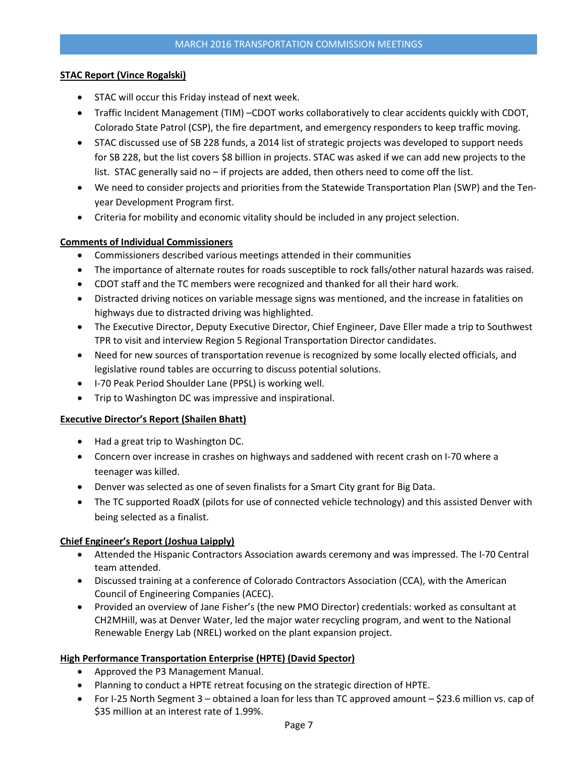## **STAC Report (Vince Rogalski)**

- STAC will occur this Friday instead of next week.
- Traffic Incident Management (TIM) –CDOT works collaboratively to clear accidents quickly with CDOT, Colorado State Patrol (CSP), the fire department, and emergency responders to keep traffic moving.
- STAC discussed use of SB 228 funds, a 2014 list of strategic projects was developed to support needs for SB 228, but the list covers \$8 billion in projects. STAC was asked if we can add new projects to the list. STAC generally said no – if projects are added, then others need to come off the list.
- We need to consider projects and priorities from the Statewide Transportation Plan (SWP) and the Tenyear Development Program first.
- Criteria for mobility and economic vitality should be included in any project selection.

## **Comments of Individual Commissioners**

- Commissioners described various meetings attended in their communities
- The importance of alternate routes for roads susceptible to rock falls/other natural hazards was raised.
- CDOT staff and the TC members were recognized and thanked for all their hard work.
- Distracted driving notices on variable message signs was mentioned, and the increase in fatalities on highways due to distracted driving was highlighted.
- The Executive Director, Deputy Executive Director, Chief Engineer, Dave Eller made a trip to Southwest TPR to visit and interview Region 5 Regional Transportation Director candidates.
- Need for new sources of transportation revenue is recognized by some locally elected officials, and legislative round tables are occurring to discuss potential solutions.
- I-70 Peak Period Shoulder Lane (PPSL) is working well.
- Trip to Washington DC was impressive and inspirational.

## **Executive Director's Report (Shailen Bhatt)**

- Had a great trip to Washington DC.
- Concern over increase in crashes on highways and saddened with recent crash on I-70 where a teenager was killed.
- Denver was selected as one of seven finalists for a Smart City grant for Big Data.
- The TC supported RoadX (pilots for use of connected vehicle technology) and this assisted Denver with being selected as a finalist.

## **Chief Engineer's Report (Joshua Laipply)**

- Attended the Hispanic Contractors Association awards ceremony and was impressed. The I-70 Central team attended.
- Discussed training at a conference of Colorado Contractors Association (CCA), with the American Council of Engineering Companies (ACEC).
- Provided an overview of Jane Fisher's (the new PMO Director) credentials: worked as consultant at CH2MHill, was at Denver Water, led the major water recycling program, and went to the National Renewable Energy Lab (NREL) worked on the plant expansion project.

## **High Performance Transportation Enterprise (HPTE) (David Spector)**

- Approved the P3 Management Manual.
- Planning to conduct a HPTE retreat focusing on the strategic direction of HPTE.
- For I-25 North Segment 3 obtained a loan for less than TC approved amount \$23.6 million vs. cap of \$35 million at an interest rate of 1.99%.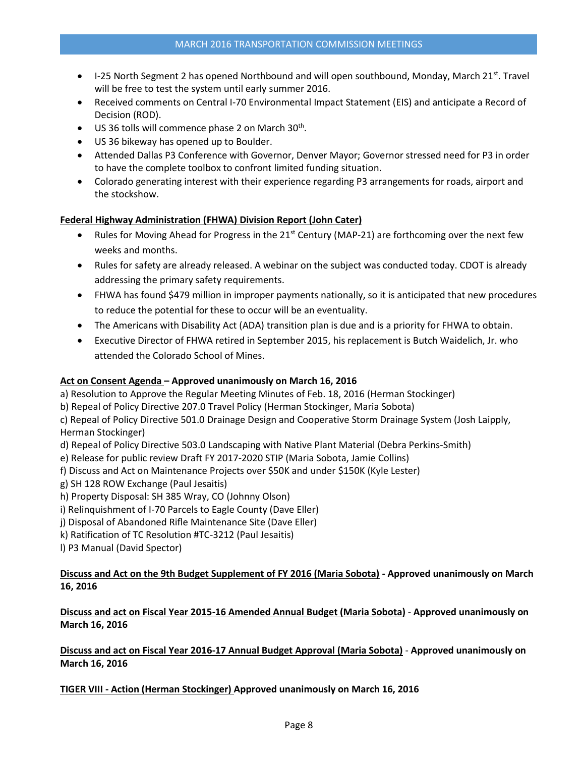- $\bullet$  I-25 North Segment 2 has opened Northbound and will open southbound, Monday, March 21st. Travel will be free to test the system until early summer 2016.
- Received comments on Central I-70 Environmental Impact Statement (EIS) and anticipate a Record of Decision (ROD).
- US 36 tolls will commence phase 2 on March 30<sup>th</sup>.
- US 36 bikeway has opened up to Boulder.
- Attended Dallas P3 Conference with Governor, Denver Mayor; Governor stressed need for P3 in order to have the complete toolbox to confront limited funding situation.
- Colorado generating interest with their experience regarding P3 arrangements for roads, airport and the stockshow.

### **Federal Highway Administration (FHWA) Division Report (John Cater)**

- Rules for Moving Ahead for Progress in the  $21<sup>st</sup>$  Century (MAP-21) are forthcoming over the next few weeks and months.
- Rules for safety are already released. A webinar on the subject was conducted today. CDOT is already addressing the primary safety requirements.
- FHWA has found \$479 million in improper payments nationally, so it is anticipated that new procedures to reduce the potential for these to occur will be an eventuality.
- The Americans with Disability Act (ADA) transition plan is due and is a priority for FHWA to obtain.
- Executive Director of FHWA retired in September 2015, his replacement is Butch Waidelich, Jr. who attended the Colorado School of Mines.

### **Act on Consent Agenda – Approved unanimously on March 16, 2016**

a) Resolution to Approve the Regular Meeting Minutes of Feb. 18, 2016 (Herman Stockinger)

b) Repeal of Policy Directive 207.0 Travel Policy (Herman Stockinger, Maria Sobota)

c) Repeal of Policy Directive 501.0 Drainage Design and Cooperative Storm Drainage System (Josh Laipply, Herman Stockinger)

- d) Repeal of Policy Directive 503.0 Landscaping with Native Plant Material (Debra Perkins-Smith)
- e) Release for public review Draft FY 2017-2020 STIP (Maria Sobota, Jamie Collins)
- f) Discuss and Act on Maintenance Projects over \$50K and under \$150K (Kyle Lester)
- g) SH 128 ROW Exchange (Paul Jesaitis)
- h) Property Disposal: SH 385 Wray, CO (Johnny Olson)
- i) Relinquishment of I-70 Parcels to Eagle County (Dave Eller)
- j) Disposal of Abandoned Rifle Maintenance Site (Dave Eller)
- k) Ratification of TC Resolution #TC-3212 (Paul Jesaitis)
- l) P3 Manual (David Spector)

## **[Discuss and Act on the 9th Budget Supplement of FY 2016 \(Maria Sobota\)](https://www.codot.gov/about/transportation-commission/current-agenda-and-supporting-documents/12-9th-budget-supplement.pdf) - Approved unanimously on March 16, 2016**

**[Discuss and act on Fiscal Year 2015-16 Amended Annual Budget \(Maria Sobota\)](https://www.codot.gov/about/transportation-commission/current-agenda-and-supporting-documents/13-fy-2015-16-amended-annual-budget.pdf)** - **Approved unanimously on March 16, 2016**

**[Discuss and act on Fiscal Year 2016-17](https://www.codot.gov/about/transportation-commission/current-agenda-and-supporting-documents/13-fy-2015-16-amended-annual-budget.pdf) Annual Budget Approval (Maria Sobota)** - **Approved unanimously on March 16, 2016**

**TIGER VIII - [Action \(Herman Stockinger\)](https://www.codot.gov/about/transportation-commission/current-agenda-and-supporting-documents/15-tiger-viii-action.pdf) Approved unanimously on March 16, 2016**